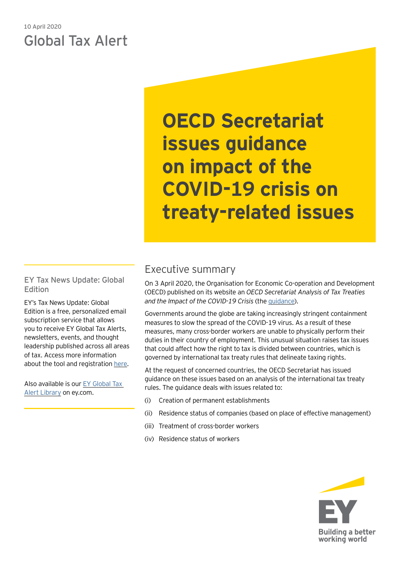# 10 April 2020 Global Tax Alert

**OECD Secretariat issues guidance on impact of the COVID-19 crisis on treaty-related issues**

EY Tax News Update: Global Edition

EY's Tax News Update: Global Edition is a free, personalized email subscription service that allows you to receive EY Global Tax Alerts, newsletters, events, and thought leadership published across all areas of tax. Access more information about the tool and registration [here.](https://www.ey.com/gl/en/services/tax/sign-up-for-ey-tax-news-update-global-edition)

Also available is our [EY Global Tax](https://www.ey.com/gl/en/services/tax/international-tax/tax-alert-library)  [Alert Library](https://www.ey.com/gl/en/services/tax/international-tax/tax-alert-library) on ey.com.

# Executive summary

On 3 April 2020, the Organisation for Economic Co-operation and Development (OECD) published on its website an *OECD Secretariat Analysis of Tax Treaties and the Impact of the COVID-19 Crisis* (the [guidance](https://read.oecd-ilibrary.org/view/?ref=127_127237-vsdagpp2t3&title=OECD-Secretariat-analysis-of-tax-treaties-and-the-impact-of-the-COVID-19-Crisis)).

Governments around the globe are taking increasingly stringent containment measures to slow the spread of the COVID-19 virus. As a result of these measures, many cross-border workers are unable to physically perform their duties in their country of employment. This unusual situation raises tax issues that could affect how the right to tax is divided between countries, which is governed by international tax treaty rules that delineate taxing rights.

At the request of concerned countries, the OECD Secretariat has issued guidance on these issues based on an analysis of the international tax treaty rules. The guidance deals with issues related to:

- (i) Creation of permanent establishments
- (ii) Residence status of companies (based on place of effective management)
- (iii) Treatment of cross-border workers
- (iv) Residence status of workers

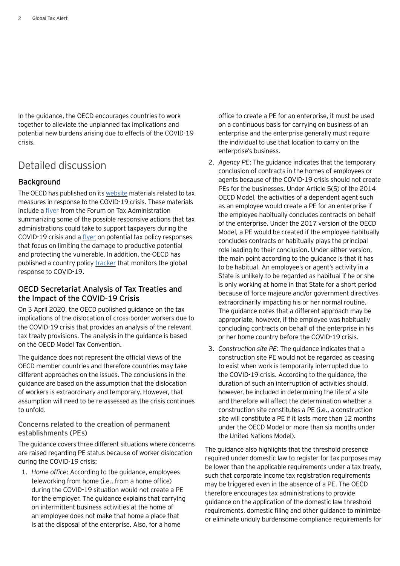In the guidance, the OECD encourages countries to work together to alleviate the unplanned tax implications and potential new burdens arising due to effects of the COVID-19 crisis.

## Detailed discussion

## **Background**

The OECD has published on its [website](http://oecd.org/coronavirus/en/) materials related to tax measures in response to the COVID-19 crisis. These materials include a [flyer](https://read.oecd-ilibrary.org/view/?ref=119_119698-4f8bfnegoj&title=Tax_administration_responses_to_Covid-19_Support_for_taxpayers) from the Forum on Tax Administration summarizing some of the possible responsive actions that tax administrations could take to support taxpayers during the COVID-19 crisis and a [flyer](https://read.oecd-ilibrary.org/view/?ref=119_119695-dj2g5d5oun&Title=Emergency%20tax%20policy%20responses%20to%20the%20Covid-19%20pandemic) on potential tax policy responses that focus on limiting the damage to productive potential and protecting the vulnerable. In addition, the OECD has published a country policy [tracker](https://t.co/GT7eKiWvxq?amp=1) that monitors the global response to COVID-19.

## OECD Secretariat Analysis of Tax Treaties and the Impact of the COVID-19 Crisis

On 3 April 2020, the OECD published guidance on the tax implications of the dislocation of cross-border workers due to the COVID-19 crisis that provides an analysis of the relevant tax treaty provisions. The analysis in the guidance is based on the OECD Model Tax Convention.

The guidance does not represent the official views of the OECD member countries and therefore countries may take different approaches on the issues. The conclusions in the guidance are based on the assumption that the dislocation of workers is extraordinary and temporary. However, that assumption will need to be re-assessed as the crisis continues to unfold.

## Concerns related to the creation of permanent establishments (PEs)

The guidance covers three different situations where concerns are raised regarding PE status because of worker dislocation during the COVID-19 crisis:

1. *Home office*: According to the guidance, employees teleworking from home (i.e., from a home office) during the COVID-19 situation would not create a PE for the employer. The guidance explains that carrying on intermittent business activities at the home of an employee does not make that home a place that is at the disposal of the enterprise. Also, for a home

office to create a PE for an enterprise, it must be used on a continuous basis for carrying on business of an enterprise and the enterprise generally must require the individual to use that location to carry on the enterprise's business.

- 2. *Agency PE*: The guidance indicates that the temporary conclusion of contracts in the homes of employees or agents because of the COVID-19 crisis should not create PEs for the businesses. Under Article 5(5) of the 2014 OECD Model, the activities of a dependent agent such as an employee would create a PE for an enterprise if the employee habitually concludes contracts on behalf of the enterprise. Under the 2017 version of the OECD Model, a PE would be created if the employee habitually concludes contracts or habitually plays the principal role leading to their conclusion. Under either version, the main point according to the guidance is that it has to be habitual. An employee's or agent's activity in a State is unlikely to be regarded as habitual if he or she is only working at home in that State for a short period because of force majeure and/or government directives extraordinarily impacting his or her normal routine. The guidance notes that a different approach may be appropriate, however, if the employee was habitually concluding contracts on behalf of the enterprise in his or her home country before the COVID-19 crisis.
- 3. *Construction site PE*: The guidance indicates that a construction site PE would not be regarded as ceasing to exist when work is temporarily interrupted due to the COVID-19 crisis. According to the guidance, the duration of such an interruption of activities should, however, be included in determining the life of a site and therefore will affect the determination whether a construction site constitutes a PE (i.e., a construction site will constitute a PE if it lasts more than 12 months under the OECD Model or more than six months under the United Nations Model).

The guidance also highlights that the threshold presence required under domestic law to register for tax purposes may be lower than the applicable requirements under a tax treaty, such that corporate income tax registration requirements may be triggered even in the absence of a PE. The OECD therefore encourages tax administrations to provide guidance on the application of the domestic law threshold requirements, domestic filing and other guidance to minimize or eliminate unduly burdensome compliance requirements for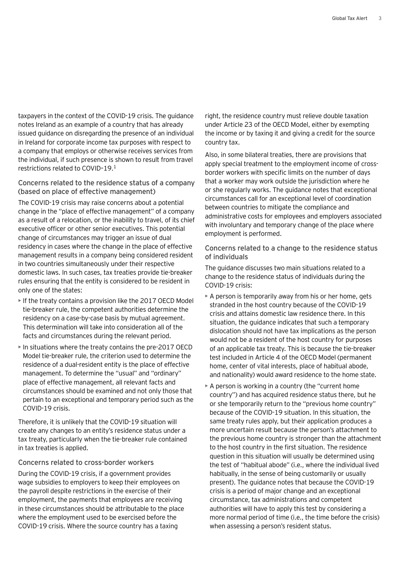taxpayers in the context of the COVID-19 crisis. The guidance notes Ireland as an example of a country that has already issued guidance on disregarding the presence of an individual in Ireland for corporate income tax purposes with respect to a company that employs or otherwise receives services from the individual, if such presence is shown to result from travel restrictions related to COVID–19.1

Concerns related to the residence status of a company (based on place of effective management)

The COVID-19 crisis may raise concerns about a potential change in the "place of effective management" of a company as a result of a relocation, or the inability to travel, of its chief executive officer or other senior executives. This potential change of circumstances may trigger an issue of dual residency in cases where the change in the place of effective management results in a company being considered resident in two countries simultaneously under their respective domestic laws. In such cases, tax treaties provide tie-breaker rules ensuring that the entity is considered to be resident in only one of the states:

- If the treaty contains a provision like the 2017 OECD Model tie-breaker rule, the competent authorities determine the residency on a case-by-case basis by mutual agreement. This determination will take into consideration all of the facts and circumstances during the relevant period.
- In situations where the treaty contains the pre-2017 OECD Model tie-breaker rule, the criterion used to determine the residence of a dual-resident entity is the place of effective management. To determine the "usual" and "ordinary" place of effective management, all relevant facts and circumstances should be examined and not only those that pertain to an exceptional and temporary period such as the COVID-19 crisis.

Therefore, it is unlikely that the COVID-19 situation will create any changes to an entity's residence status under a tax treaty, particularly when the tie-breaker rule contained in tax treaties is applied.

#### Concerns related to cross-border workers

During the COVID-19 crisis, if a government provides wage subsidies to employers to keep their employees on the payroll despite restrictions in the exercise of their employment, the payments that employees are receiving in these circumstances should be attributable to the place where the employment used to be exercised before the COVID-19 crisis. Where the source country has a taxing

right, the residence country must relieve double taxation under Article 23 of the OECD Model, either by exempting the income or by taxing it and giving a credit for the source country tax.

Also, in some bilateral treaties, there are provisions that apply special treatment to the employment income of crossborder workers with specific limits on the number of days that a worker may work outside the jurisdiction where he or she regularly works. The guidance notes that exceptional circumstances call for an exceptional level of coordination between countries to mitigate the compliance and administrative costs for employees and employers associated with involuntary and temporary change of the place where employment is performed.

Concerns related to a change to the residence status of individuals

The guidance discusses two main situations related to a change to the residence status of individuals during the COVID-19 crisis:

- A person is temporarily away from his or her home, gets stranded in the host country because of the COVID-19 crisis and attains domestic law residence there. In this situation, the guidance indicates that such a temporary dislocation should not have tax implications as the person would not be a resident of the host country for purposes of an applicable tax treaty. This is because the tie-breaker test included in Article 4 of the OECD Model (permanent home, center of vital interests, place of habitual abode, and nationality) would award residence to the home state.
- A person is working in a country (the "current home country") and has acquired residence status there, but he or she temporarily return to the "previous home country" because of the COVID-19 situation. In this situation, the same treaty rules apply, but their application produces a more uncertain result because the person's attachment to the previous home country is stronger than the attachment to the host country in the first situation. The residence question in this situation will usually be determined using the test of "habitual abode" (i.e., where the individual lived habitually, in the sense of being customarily or usually present). The guidance notes that because the COVID-19 crisis is a period of major change and an exceptional circumstance, tax administrations and competent authorities will have to apply this test by considering a more normal period of time (i.e., the time before the crisis) when assessing a person's resident status.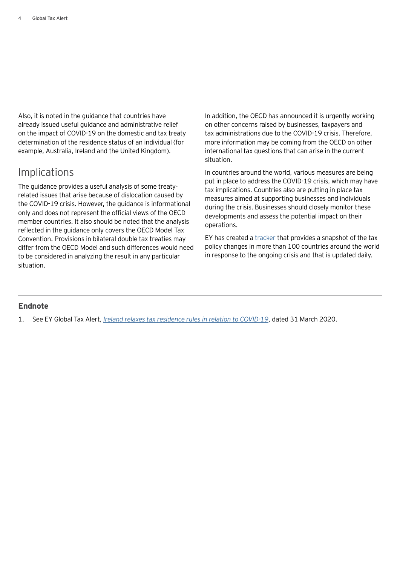Also, it is noted in the guidance that countries have already issued useful guidance and administrative relief on the impact of COVID-19 on the domestic and tax treaty determination of the residence status of an individual (for example, Australia, Ireland and the United Kingdom).

## Implications

The guidance provides a useful analysis of some treatyrelated issues that arise because of dislocation caused by the COVID-19 crisis. However, the guidance is informational only and does not represent the official views of the OECD member countries. It also should be noted that the analysis reflected in the guidance only covers the OECD Model Tax Convention. Provisions in bilateral double tax treaties may differ from the OECD Model and such differences would need to be considered in analyzing the result in any particular situation.

In addition, the OECD has announced it is urgently working on other concerns raised by businesses, taxpayers and tax administrations due to the COVID-19 crisis. Therefore, more information may be coming from the OECD on other international tax questions that can arise in the current situation.

In countries around the world, various measures are being put in place to address the COVID-19 crisis, which may have tax implications. Countries also are putting in place tax measures aimed at supporting businesses and individuals during the crisis. Businesses should closely monitor these developments and assess the potential impact on their operations.

EY has created a [tracker](https://www.ey.com/en_gl/tax/how-covid-19-is-causing-governments-to-adopt-economic-stimulus--) that provides a snapshot of the tax policy changes in more than 100 countries around the world in response to the ongoing crisis and that is updated daily.

## **Endnote**

1. See EY Global Tax Alert, *[Ireland relaxes tax residence rules in relation to COVID-19](https://globaltaxnews.ey.com/news/2020-5493-ireland-relaxes-tax-residence-rules-in-relation-to-covid-19)*, dated 31 March 2020.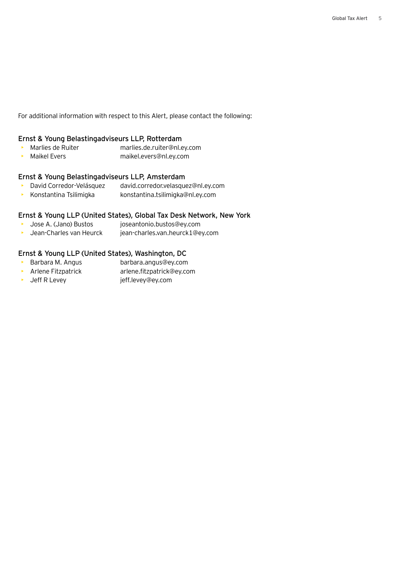For additional information with respect to this Alert, please contact the following:

## Ernst & Young Belastingadviseurs LLP, Rotterdam

- Marlies de Ruiter marlies.de.ruiter@nl.ey.com
- Maikel Evers maikel.evers@nl.ey.com

### Ernst & Young Belastingadviseurs LLP, Amsterdam

- David Corredor-Velásquez david.corredor.velasquez@nl.ey.com
- Konstantina Tsilimigka konstantina.tsilimigka@nl.ey.com

### Ernst & Young LLP (United States), Global Tax Desk Network, New York

- Jose A. (Jano) Bustos joseantonio.bustos@ey.com
- Jean-Charles van Heurck jean-charles.van.heurck1@ey.com

## Ernst & Young LLP (United States), Washington, DC

- Barbara M. Angus barbara.angus@ey.com
- Arlene Fitzpatrick arlene.fitzpatrick@ey.com
- Jeff R Levey jeff.levey@ey.com